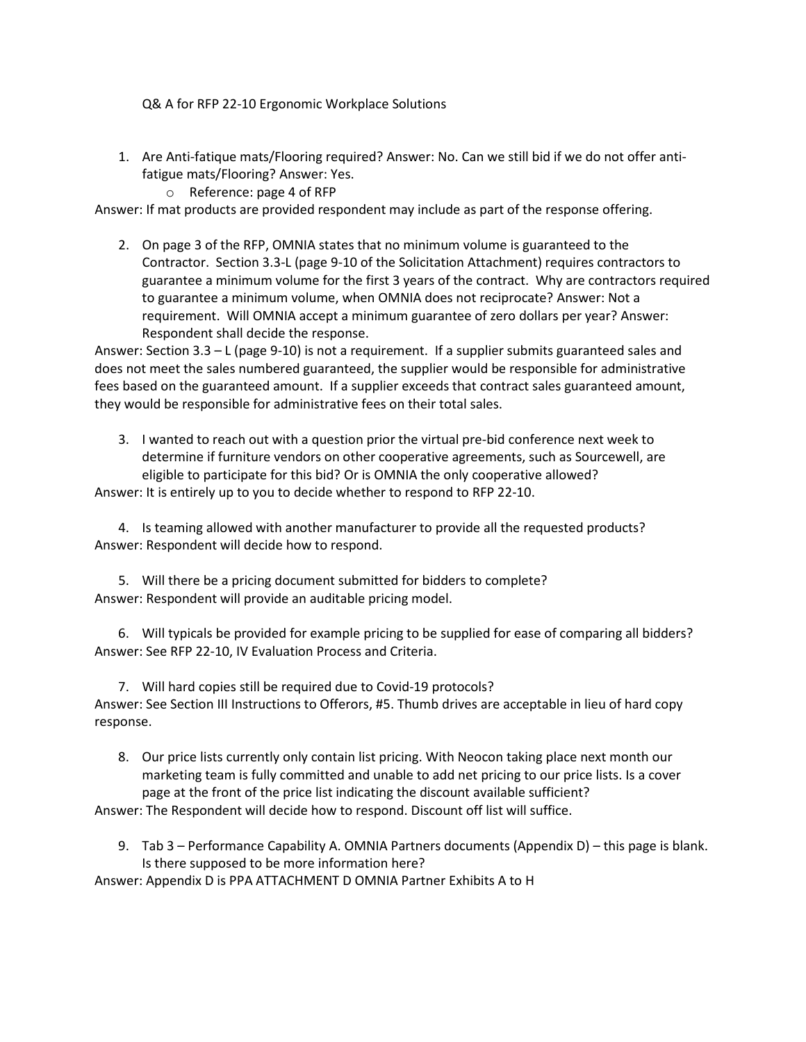Q& A for RFP 22-10 Ergonomic Workplace Solutions

- 1. Are Anti-fatique mats/Flooring required? Answer: No. Can we still bid if we do not offer antifatigue mats/Flooring? Answer: Yes.
	- o Reference: page 4 of RFP

Answer: If mat products are provided respondent may include as part of the response offering.

2. On page 3 of the RFP, OMNIA states that no minimum volume is guaranteed to the Contractor. Section 3.3-L (page 9-10 of the Solicitation Attachment) requires contractors to guarantee a minimum volume for the first 3 years of the contract. Why are contractors required to guarantee a minimum volume, when OMNIA does not reciprocate? Answer: Not a requirement. Will OMNIA accept a minimum guarantee of zero dollars per year? Answer: Respondent shall decide the response.

Answer: Section 3.3 – L (page 9-10) is not a requirement. If a supplier submits guaranteed sales and does not meet the sales numbered guaranteed, the supplier would be responsible for administrative fees based on the guaranteed amount. If a supplier exceeds that contract sales guaranteed amount, they would be responsible for administrative fees on their total sales.

3. I wanted to reach out with a question prior the virtual pre-bid conference next week to determine if furniture vendors on other cooperative agreements, such as Sourcewell, are eligible to participate for this bid? Or is OMNIA the only cooperative allowed?

Answer: It is entirely up to you to decide whether to respond to RFP 22-10.

4. Is teaming allowed with another manufacturer to provide all the requested products? Answer: Respondent will decide how to respond.

5. Will there be a pricing document submitted for bidders to complete? Answer: Respondent will provide an auditable pricing model.

6. Will typicals be provided for example pricing to be supplied for ease of comparing all bidders? Answer: See RFP 22-10, IV Evaluation Process and Criteria.

7. Will hard copies still be required due to Covid-19 protocols? Answer: See Section III Instructions to Offerors, #5. Thumb drives are acceptable in lieu of hard copy response.

8. Our price lists currently only contain list pricing. With Neocon taking place next month our marketing team is fully committed and unable to add net pricing to our price lists. Is a cover page at the front of the price list indicating the discount available sufficient?

Answer: The Respondent will decide how to respond. Discount off list will suffice.

9. Tab 3 – Performance Capability A. OMNIA Partners documents (Appendix D) – this page is blank. Is there supposed to be more information here?

Answer: Appendix D is PPA ATTACHMENT D OMNIA Partner Exhibits A to H